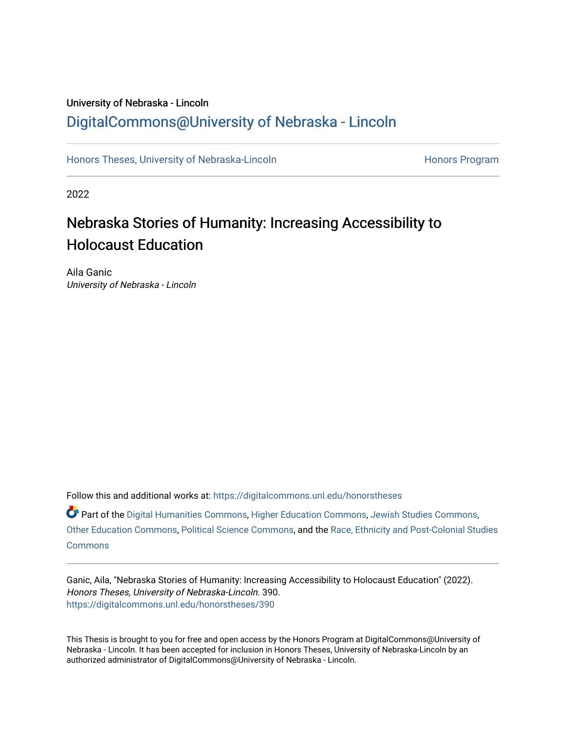# University of Nebraska - Lincoln [DigitalCommons@University of Nebraska - Lincoln](https://digitalcommons.unl.edu/)

[Honors Theses, University of Nebraska-Lincoln](https://digitalcommons.unl.edu/honorstheses) **Honors Program** Honors Program

2022

# Nebraska Stories of Humanity: Increasing Accessibility to Holocaust Education

Aila Ganic University of Nebraska - Lincoln

Follow this and additional works at: [https://digitalcommons.unl.edu/honorstheses](https://digitalcommons.unl.edu/honorstheses?utm_source=digitalcommons.unl.edu%2Fhonorstheses%2F390&utm_medium=PDF&utm_campaign=PDFCoverPages)

Part of the [Digital Humanities Commons](http://network.bepress.com/hgg/discipline/1286?utm_source=digitalcommons.unl.edu%2Fhonorstheses%2F390&utm_medium=PDF&utm_campaign=PDFCoverPages), [Higher Education Commons,](http://network.bepress.com/hgg/discipline/1245?utm_source=digitalcommons.unl.edu%2Fhonorstheses%2F390&utm_medium=PDF&utm_campaign=PDFCoverPages) [Jewish Studies Commons,](http://network.bepress.com/hgg/discipline/479?utm_source=digitalcommons.unl.edu%2Fhonorstheses%2F390&utm_medium=PDF&utm_campaign=PDFCoverPages) [Other Education Commons,](http://network.bepress.com/hgg/discipline/811?utm_source=digitalcommons.unl.edu%2Fhonorstheses%2F390&utm_medium=PDF&utm_campaign=PDFCoverPages) [Political Science Commons,](http://network.bepress.com/hgg/discipline/386?utm_source=digitalcommons.unl.edu%2Fhonorstheses%2F390&utm_medium=PDF&utm_campaign=PDFCoverPages) and the [Race, Ethnicity and Post-Colonial Studies](http://network.bepress.com/hgg/discipline/566?utm_source=digitalcommons.unl.edu%2Fhonorstheses%2F390&utm_medium=PDF&utm_campaign=PDFCoverPages)  **[Commons](http://network.bepress.com/hgg/discipline/566?utm_source=digitalcommons.unl.edu%2Fhonorstheses%2F390&utm_medium=PDF&utm_campaign=PDFCoverPages)** 

Ganic, Aila, "Nebraska Stories of Humanity: Increasing Accessibility to Holocaust Education" (2022). Honors Theses, University of Nebraska-Lincoln. 390. [https://digitalcommons.unl.edu/honorstheses/390](https://digitalcommons.unl.edu/honorstheses/390?utm_source=digitalcommons.unl.edu%2Fhonorstheses%2F390&utm_medium=PDF&utm_campaign=PDFCoverPages)

This Thesis is brought to you for free and open access by the Honors Program at DigitalCommons@University of Nebraska - Lincoln. It has been accepted for inclusion in Honors Theses, University of Nebraska-Lincoln by an authorized administrator of DigitalCommons@University of Nebraska - Lincoln.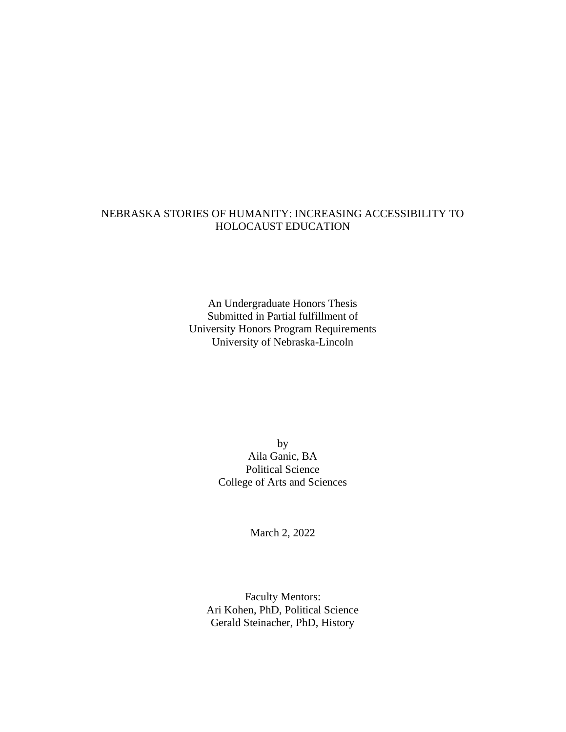## NEBRASKA STORIES OF HUMANITY: INCREASING ACCESSIBILITY TO HOLOCAUST EDUCATION

An Undergraduate Honors Thesis Submitted in Partial fulfillment of University Honors Program Requirements University of Nebraska-Lincoln

> by Aila Ganic, BA Political Science College of Arts and Sciences

> > March 2, 2022

Faculty Mentors: Ari Kohen, PhD, Political Science Gerald Steinacher, PhD, History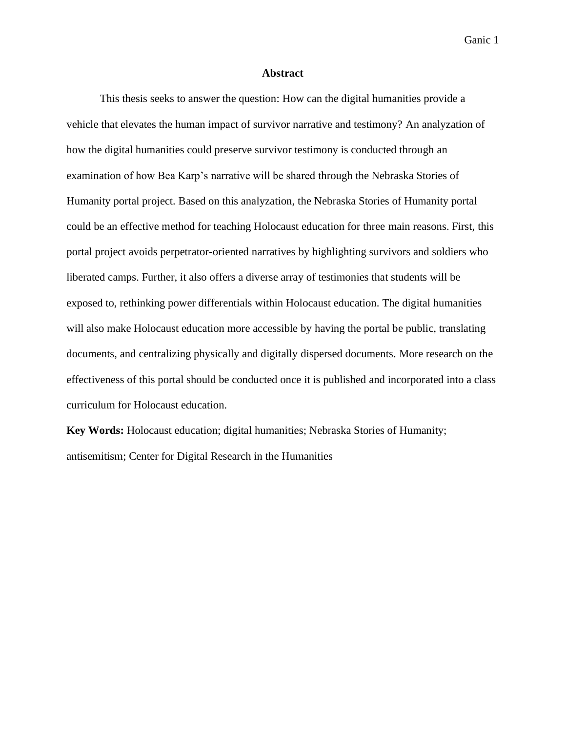#### **Abstract**

This thesis seeks to answer the question: How can the digital humanities provide a vehicle that elevates the human impact of survivor narrative and testimony? An analyzation of how the digital humanities could preserve survivor testimony is conducted through an examination of how Bea Karp's narrative will be shared through the Nebraska Stories of Humanity portal project. Based on this analyzation, the Nebraska Stories of Humanity portal could be an effective method for teaching Holocaust education for three main reasons. First, this portal project avoids perpetrator-oriented narratives by highlighting survivors and soldiers who liberated camps. Further, it also offers a diverse array of testimonies that students will be exposed to, rethinking power differentials within Holocaust education. The digital humanities will also make Holocaust education more accessible by having the portal be public, translating documents, and centralizing physically and digitally dispersed documents. More research on the effectiveness of this portal should be conducted once it is published and incorporated into a class curriculum for Holocaust education.

**Key Words:** Holocaust education; digital humanities; Nebraska Stories of Humanity; antisemitism; Center for Digital Research in the Humanities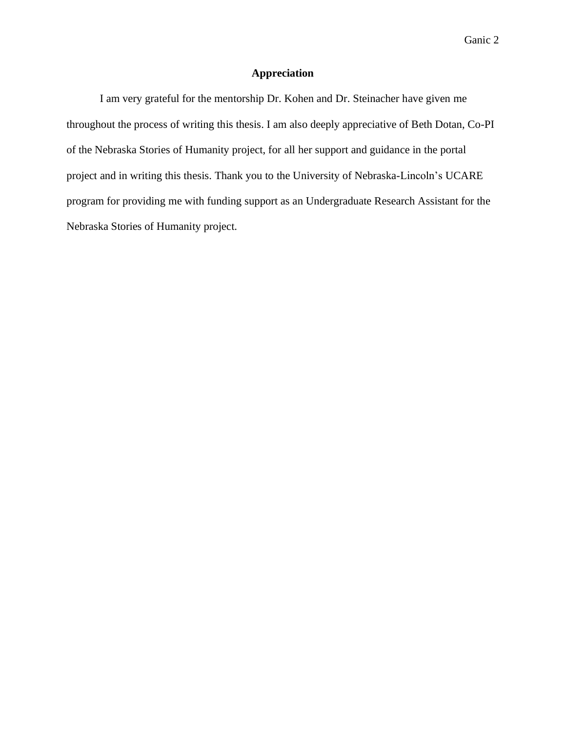## **Appreciation**

I am very grateful for the mentorship Dr. Kohen and Dr. Steinacher have given me throughout the process of writing this thesis. I am also deeply appreciative of Beth Dotan, Co-PI of the Nebraska Stories of Humanity project, for all her support and guidance in the portal project and in writing this thesis. Thank you to the University of Nebraska-Lincoln's UCARE program for providing me with funding support as an Undergraduate Research Assistant for the Nebraska Stories of Humanity project.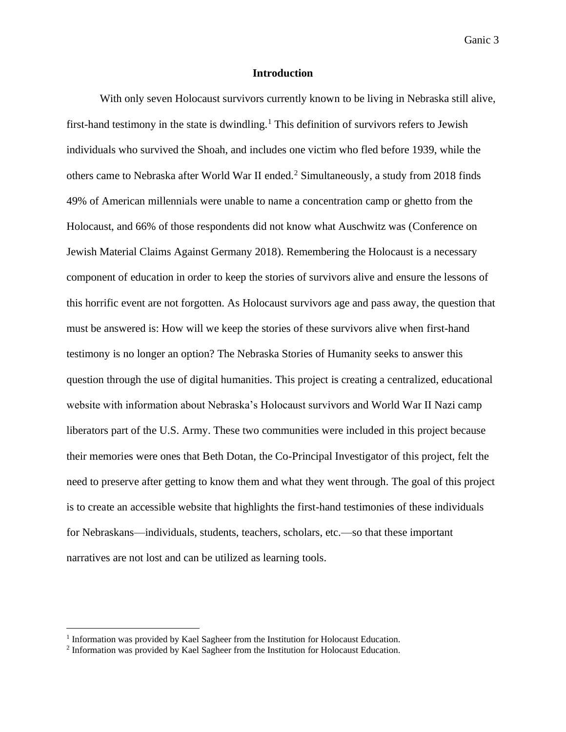#### **Introduction**

With only seven Holocaust survivors currently known to be living in Nebraska still alive, first-hand testimony in the state is dwindling.<sup>1</sup> This definition of survivors refers to Jewish individuals who survived the Shoah, and includes one victim who fled before 1939, while the others came to Nebraska after World War II ended.<sup>2</sup> Simultaneously, a study from 2018 finds 49% of American millennials were unable to name a concentration camp or ghetto from the Holocaust, and 66% of those respondents did not know what Auschwitz was (Conference on Jewish Material Claims Against Germany 2018). Remembering the Holocaust is a necessary component of education in order to keep the stories of survivors alive and ensure the lessons of this horrific event are not forgotten. As Holocaust survivors age and pass away, the question that must be answered is: How will we keep the stories of these survivors alive when first-hand testimony is no longer an option? The Nebraska Stories of Humanity seeks to answer this question through the use of digital humanities. This project is creating a centralized, educational website with information about Nebraska's Holocaust survivors and World War II Nazi camp liberators part of the U.S. Army. These two communities were included in this project because their memories were ones that Beth Dotan, the Co-Principal Investigator of this project, felt the need to preserve after getting to know them and what they went through. The goal of this project is to create an accessible website that highlights the first-hand testimonies of these individuals for Nebraskans—individuals, students, teachers, scholars, etc.—so that these important narratives are not lost and can be utilized as learning tools.

<sup>&</sup>lt;sup>1</sup> Information was provided by Kael Sagheer from the Institution for Holocaust Education.

<sup>&</sup>lt;sup>2</sup> Information was provided by Kael Sagheer from the Institution for Holocaust Education.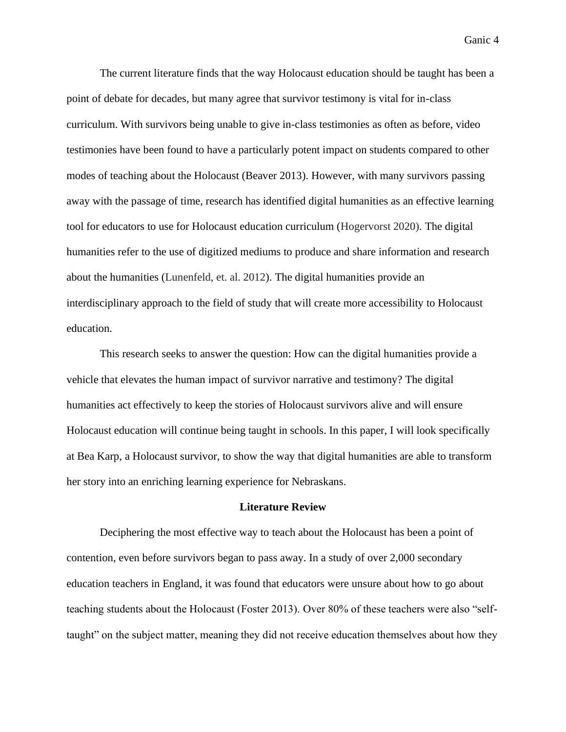The current literature finds that the way Holocaust education should be taught has been a point of debate for decades, but many agree that survivor testimony is vital for in-class curriculum. With survivors being unable to give in-class testimonies as often as before, video testimonies have been found to have a particularly potent impact on students compared to other modes of teaching about the Holocaust (Beaver 2013). However, with many survivors passing away with the passage of time, research has identified digital humanities as an effective learning tool for educators to use for Holocaust education curriculum (Hogervorst 2020). The digital humanities refer to the use of digitized mediums to produce and share information and research about the humanities (Lunenfeld, et. al. 2012). The digital humanities provide an interdisciplinary approach to the field of study that will create more accessibility to Holocaust education.

This research seeks to answer the question: How can the digital humanities provide a vehicle that elevates the human impact of survivor narrative and testimony? The digital humanities act effectively to keep the stories of Holocaust survivors alive and will ensure Holocaust education will continue being taught in schools. In this paper, I will look specifically at Bea Karp, a Holocaust survivor, to show the way that digital humanities are able to transform her story into an enriching learning experience for Nebraskans.

#### **Literature Review**

Deciphering the most effective way to teach about the Holocaust has been a point of contention, even before survivors began to pass away. In a study of over 2,000 secondary education teachers in England, it was found that educators were unsure about how to go about teaching students about the Holocaust (Foster 2013). Over 80% of these teachers were also "selftaught" on the subject matter, meaning they did not receive education themselves about how they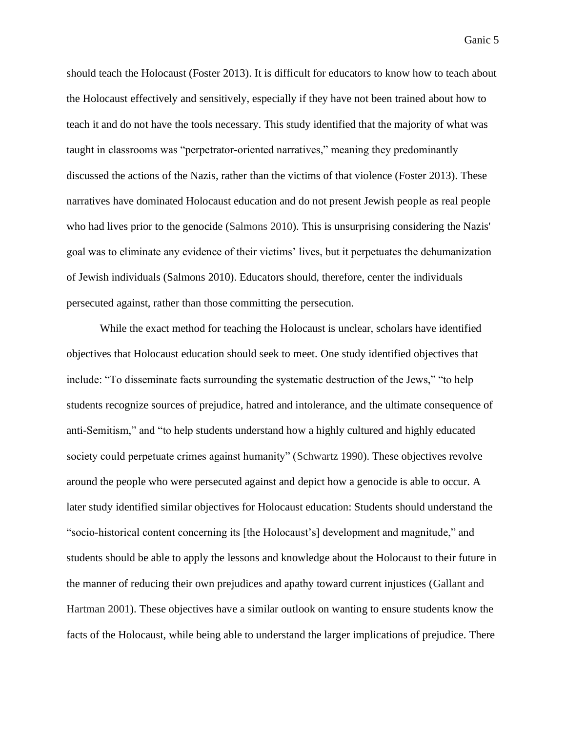should teach the Holocaust (Foster 2013). It is difficult for educators to know how to teach about the Holocaust effectively and sensitively, especially if they have not been trained about how to teach it and do not have the tools necessary. This study identified that the majority of what was taught in classrooms was "perpetrator-oriented narratives," meaning they predominantly discussed the actions of the Nazis, rather than the victims of that violence (Foster 2013). These narratives have dominated Holocaust education and do not present Jewish people as real people who had lives prior to the genocide (Salmons 2010). This is unsurprising considering the Nazis' goal was to eliminate any evidence of their victims' lives, but it perpetuates the dehumanization of Jewish individuals (Salmons 2010). Educators should, therefore, center the individuals persecuted against, rather than those committing the persecution.

While the exact method for teaching the Holocaust is unclear, scholars have identified objectives that Holocaust education should seek to meet. One study identified objectives that include: "To disseminate facts surrounding the systematic destruction of the Jews," "to help students recognize sources of prejudice, hatred and intolerance, and the ultimate consequence of anti-Semitism," and "to help students understand how a highly cultured and highly educated society could perpetuate crimes against humanity" (Schwartz 1990). These objectives revolve around the people who were persecuted against and depict how a genocide is able to occur. A later study identified similar objectives for Holocaust education: Students should understand the "socio-historical content concerning its [the Holocaust's] development and magnitude," and students should be able to apply the lessons and knowledge about the Holocaust to their future in the manner of reducing their own prejudices and apathy toward current injustices (Gallant and Hartman 2001). These objectives have a similar outlook on wanting to ensure students know the facts of the Holocaust, while being able to understand the larger implications of prejudice. There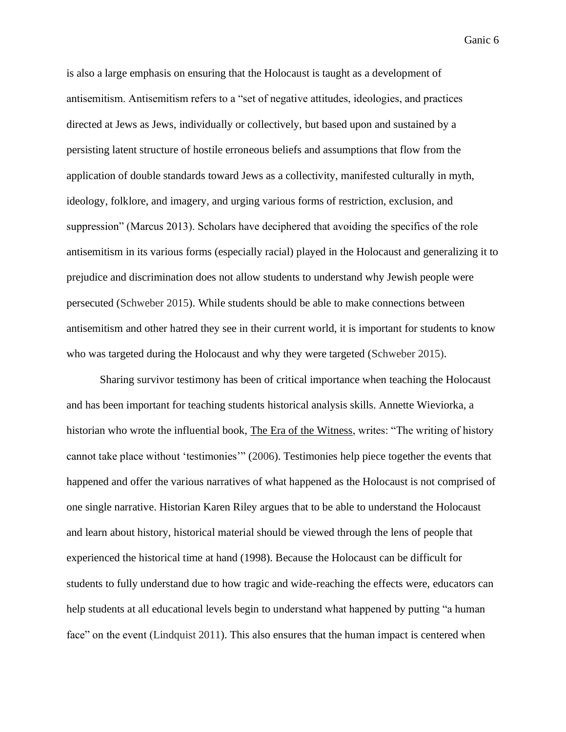is also a large emphasis on ensuring that the Holocaust is taught as a development of antisemitism. Antisemitism refers to a "set of negative attitudes, ideologies, and practices directed at Jews as Jews, individually or collectively, but based upon and sustained by a persisting latent structure of hostile erroneous beliefs and assumptions that flow from the application of double standards toward Jews as a collectivity, manifested culturally in myth, ideology, folklore, and imagery, and urging various forms of restriction, exclusion, and suppression" (Marcus 2013). Scholars have deciphered that avoiding the specifics of the role antisemitism in its various forms (especially racial) played in the Holocaust and generalizing it to prejudice and discrimination does not allow students to understand why Jewish people were persecuted (Schweber 2015). While students should be able to make connections between antisemitism and other hatred they see in their current world, it is important for students to know who was targeted during the Holocaust and why they were targeted (Schweber 2015).

Sharing survivor testimony has been of critical importance when teaching the Holocaust and has been important for teaching students historical analysis skills. Annette Wieviorka, a historian who wrote the influential book, The Era of the Witness, writes: "The writing of history cannot take place without 'testimonies'" (2006). Testimonies help piece together the events that happened and offer the various narratives of what happened as the Holocaust is not comprised of one single narrative. Historian Karen Riley argues that to be able to understand the Holocaust and learn about history, historical material should be viewed through the lens of people that experienced the historical time at hand (1998). Because the Holocaust can be difficult for students to fully understand due to how tragic and wide-reaching the effects were, educators can help students at all educational levels begin to understand what happened by putting "a human face" on the event (Lindquist 2011). This also ensures that the human impact is centered when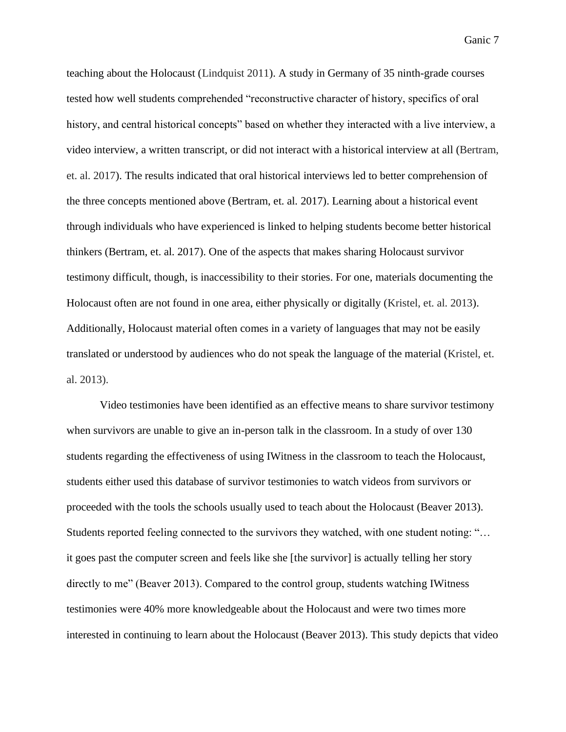teaching about the Holocaust (Lindquist 2011). A study in Germany of 35 ninth-grade courses tested how well students comprehended "reconstructive character of history, specifics of oral history, and central historical concepts" based on whether they interacted with a live interview, a video interview, a written transcript, or did not interact with a historical interview at all (Bertram, et. al. 2017). The results indicated that oral historical interviews led to better comprehension of the three concepts mentioned above (Bertram, et. al. 2017). Learning about a historical event through individuals who have experienced is linked to helping students become better historical thinkers (Bertram, et. al. 2017). One of the aspects that makes sharing Holocaust survivor testimony difficult, though, is inaccessibility to their stories. For one, materials documenting the Holocaust often are not found in one area, either physically or digitally (Kristel, et. al. 2013). Additionally, Holocaust material often comes in a variety of languages that may not be easily translated or understood by audiences who do not speak the language of the material (Kristel, et. al. 2013).

Video testimonies have been identified as an effective means to share survivor testimony when survivors are unable to give an in-person talk in the classroom. In a study of over 130 students regarding the effectiveness of using IWitness in the classroom to teach the Holocaust, students either used this database of survivor testimonies to watch videos from survivors or proceeded with the tools the schools usually used to teach about the Holocaust (Beaver 2013). Students reported feeling connected to the survivors they watched, with one student noting: "… it goes past the computer screen and feels like she [the survivor] is actually telling her story directly to me" (Beaver 2013). Compared to the control group, students watching IWitness testimonies were 40% more knowledgeable about the Holocaust and were two times more interested in continuing to learn about the Holocaust (Beaver 2013). This study depicts that video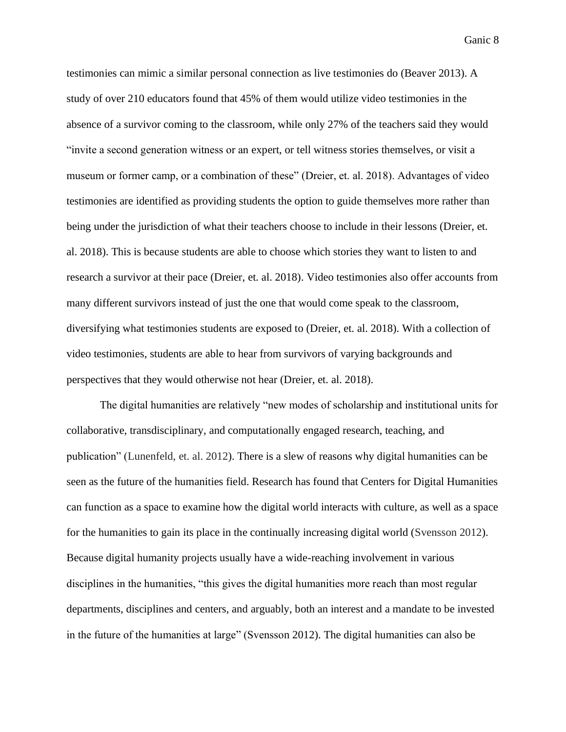testimonies can mimic a similar personal connection as live testimonies do (Beaver 2013). A study of over 210 educators found that 45% of them would utilize video testimonies in the absence of a survivor coming to the classroom, while only 27% of the teachers said they would "invite a second generation witness or an expert, or tell witness stories themselves, or visit a museum or former camp, or a combination of these" (Dreier, et. al. 2018). Advantages of video testimonies are identified as providing students the option to guide themselves more rather than being under the jurisdiction of what their teachers choose to include in their lessons (Dreier, et. al. 2018). This is because students are able to choose which stories they want to listen to and research a survivor at their pace (Dreier, et. al. 2018). Video testimonies also offer accounts from many different survivors instead of just the one that would come speak to the classroom, diversifying what testimonies students are exposed to (Dreier, et. al. 2018). With a collection of video testimonies, students are able to hear from survivors of varying backgrounds and perspectives that they would otherwise not hear (Dreier, et. al. 2018).

The digital humanities are relatively "new modes of scholarship and institutional units for collaborative, transdisciplinary, and computationally engaged research, teaching, and publication" (Lunenfeld, et. al. 2012). There is a slew of reasons why digital humanities can be seen as the future of the humanities field. Research has found that Centers for Digital Humanities can function as a space to examine how the digital world interacts with culture, as well as a space for the humanities to gain its place in the continually increasing digital world (Svensson 2012). Because digital humanity projects usually have a wide-reaching involvement in various disciplines in the humanities, "this gives the digital humanities more reach than most regular departments, disciplines and centers, and arguably, both an interest and a mandate to be invested in the future of the humanities at large" (Svensson 2012). The digital humanities can also be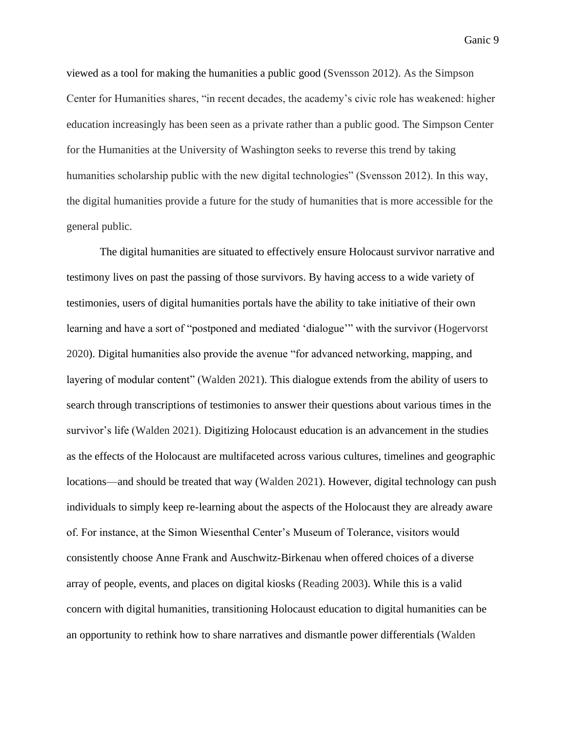viewed as a tool for making the humanities a public good (Svensson 2012). As the Simpson Center for Humanities shares, "in recent decades, the academy's civic role has weakened: higher education increasingly has been seen as a private rather than a public good. The Simpson Center for the Humanities at the University of Washington seeks to reverse this trend by taking humanities scholarship public with the new digital technologies" (Svensson 2012). In this way, the digital humanities provide a future for the study of humanities that is more accessible for the general public.

The digital humanities are situated to effectively ensure Holocaust survivor narrative and testimony lives on past the passing of those survivors. By having access to a wide variety of testimonies, users of digital humanities portals have the ability to take initiative of their own learning and have a sort of "postponed and mediated 'dialogue'" with the survivor (Hogervorst 2020). Digital humanities also provide the avenue "for advanced networking, mapping, and layering of modular content" (Walden 2021). This dialogue extends from the ability of users to search through transcriptions of testimonies to answer their questions about various times in the survivor's life (Walden 2021). Digitizing Holocaust education is an advancement in the studies as the effects of the Holocaust are multifaceted across various cultures, timelines and geographic locations—and should be treated that way (Walden 2021). However, digital technology can push individuals to simply keep re-learning about the aspects of the Holocaust they are already aware of. For instance, at the Simon Wiesenthal Center's Museum of Tolerance, visitors would consistently choose Anne Frank and Auschwitz-Birkenau when offered choices of a diverse array of people, events, and places on digital kiosks (Reading 2003). While this is a valid concern with digital humanities, transitioning Holocaust education to digital humanities can be an opportunity to rethink how to share narratives and dismantle power differentials (Walden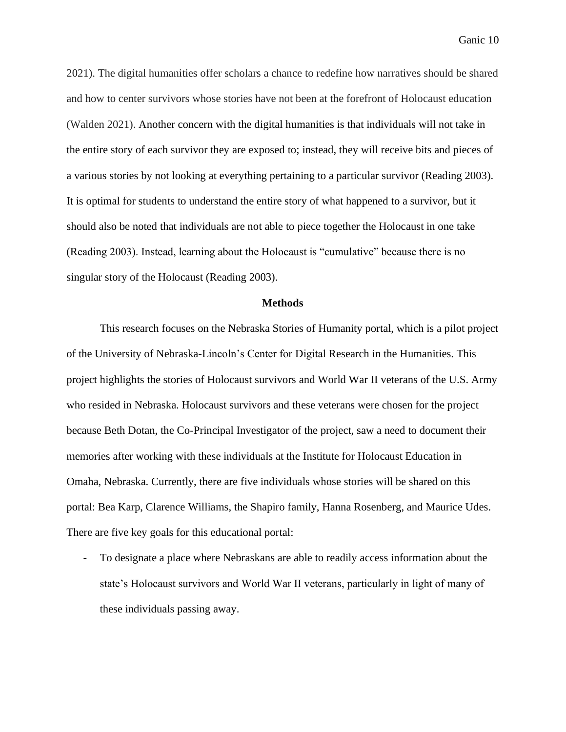2021). The digital humanities offer scholars a chance to redefine how narratives should be shared and how to center survivors whose stories have not been at the forefront of Holocaust education (Walden 2021). Another concern with the digital humanities is that individuals will not take in the entire story of each survivor they are exposed to; instead, they will receive bits and pieces of a various stories by not looking at everything pertaining to a particular survivor (Reading 2003). It is optimal for students to understand the entire story of what happened to a survivor, but it should also be noted that individuals are not able to piece together the Holocaust in one take (Reading 2003). Instead, learning about the Holocaust is "cumulative" because there is no singular story of the Holocaust (Reading 2003).

#### **Methods**

This research focuses on the Nebraska Stories of Humanity portal, which is a pilot project of the University of Nebraska-Lincoln's Center for Digital Research in the Humanities. This project highlights the stories of Holocaust survivors and World War II veterans of the U.S. Army who resided in Nebraska. Holocaust survivors and these veterans were chosen for the project because Beth Dotan, the Co-Principal Investigator of the project, saw a need to document their memories after working with these individuals at the Institute for Holocaust Education in Omaha, Nebraska. Currently, there are five individuals whose stories will be shared on this portal: Bea Karp, Clarence Williams, the Shapiro family, Hanna Rosenberg, and Maurice Udes. There are five key goals for this educational portal:

- To designate a place where Nebraskans are able to readily access information about the state's Holocaust survivors and World War II veterans, particularly in light of many of these individuals passing away.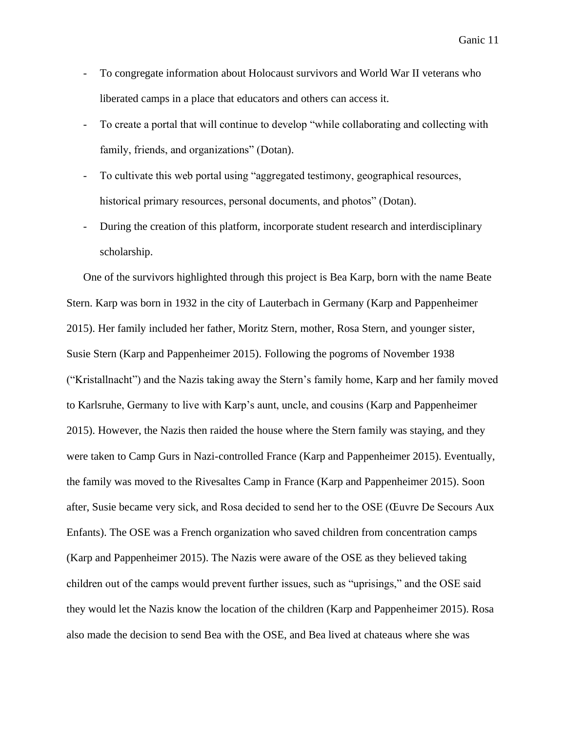- To congregate information about Holocaust survivors and World War II veterans who liberated camps in a place that educators and others can access it.
- To create a portal that will continue to develop "while collaborating and collecting with family, friends, and organizations" (Dotan).
- To cultivate this web portal using "aggregated testimony, geographical resources, historical primary resources, personal documents, and photos" (Dotan).
- During the creation of this platform, incorporate student research and interdisciplinary scholarship.

One of the survivors highlighted through this project is Bea Karp, born with the name Beate Stern. Karp was born in 1932 in the city of Lauterbach in Germany (Karp and Pappenheimer 2015). Her family included her father, Moritz Stern, mother, Rosa Stern, and younger sister, Susie Stern (Karp and Pappenheimer 2015). Following the pogroms of November 1938 ("Kristallnacht") and the Nazis taking away the Stern's family home, Karp and her family moved to Karlsruhe, Germany to live with Karp's aunt, uncle, and cousins (Karp and Pappenheimer 2015). However, the Nazis then raided the house where the Stern family was staying, and they were taken to Camp Gurs in Nazi-controlled France (Karp and Pappenheimer 2015). Eventually, the family was moved to the Rivesaltes Camp in France (Karp and Pappenheimer 2015). Soon after, Susie became very sick, and Rosa decided to send her to the OSE (Œuvre De Secours Aux Enfants). The OSE was a French organization who saved children from concentration camps (Karp and Pappenheimer 2015). The Nazis were aware of the OSE as they believed taking children out of the camps would prevent further issues, such as "uprisings," and the OSE said they would let the Nazis know the location of the children (Karp and Pappenheimer 2015). Rosa also made the decision to send Bea with the OSE, and Bea lived at chateaus where she was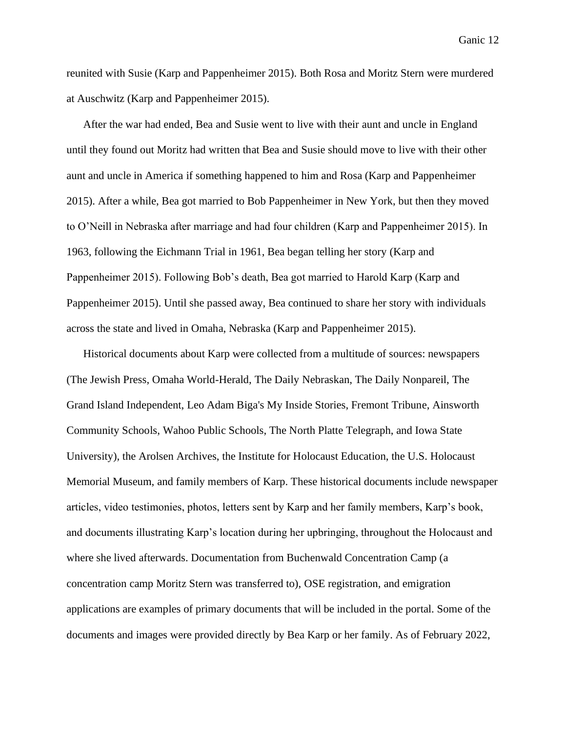reunited with Susie (Karp and Pappenheimer 2015). Both Rosa and Moritz Stern were murdered at Auschwitz (Karp and Pappenheimer 2015).

After the war had ended, Bea and Susie went to live with their aunt and uncle in England until they found out Moritz had written that Bea and Susie should move to live with their other aunt and uncle in America if something happened to him and Rosa (Karp and Pappenheimer 2015). After a while, Bea got married to Bob Pappenheimer in New York, but then they moved to O'Neill in Nebraska after marriage and had four children (Karp and Pappenheimer 2015). In 1963, following the Eichmann Trial in 1961, Bea began telling her story (Karp and Pappenheimer 2015). Following Bob's death, Bea got married to Harold Karp (Karp and Pappenheimer 2015). Until she passed away, Bea continued to share her story with individuals across the state and lived in Omaha, Nebraska (Karp and Pappenheimer 2015).

Historical documents about Karp were collected from a multitude of sources: newspapers (The Jewish Press, Omaha World-Herald, The Daily Nebraskan, The Daily Nonpareil, The Grand Island Independent, Leo Adam Biga's My Inside Stories, Fremont Tribune, Ainsworth Community Schools, Wahoo Public Schools, The North Platte Telegraph, and Iowa State University), the Arolsen Archives, the Institute for Holocaust Education, the U.S. Holocaust Memorial Museum, and family members of Karp. These historical documents include newspaper articles, video testimonies, photos, letters sent by Karp and her family members, Karp's book, and documents illustrating Karp's location during her upbringing, throughout the Holocaust and where she lived afterwards. Documentation from Buchenwald Concentration Camp (a concentration camp Moritz Stern was transferred to), OSE registration, and emigration applications are examples of primary documents that will be included in the portal. Some of the documents and images were provided directly by Bea Karp or her family. As of February 2022,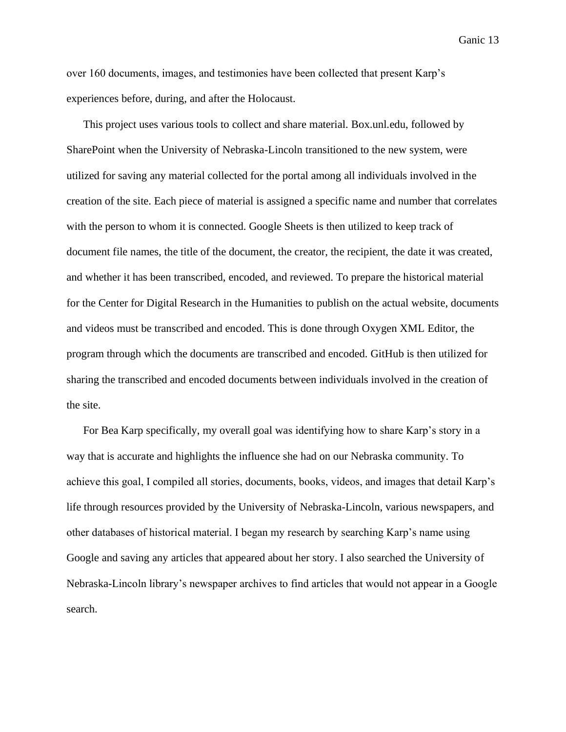over 160 documents, images, and testimonies have been collected that present Karp's experiences before, during, and after the Holocaust.

This project uses various tools to collect and share material. Box.unl.edu, followed by SharePoint when the University of Nebraska-Lincoln transitioned to the new system, were utilized for saving any material collected for the portal among all individuals involved in the creation of the site. Each piece of material is assigned a specific name and number that correlates with the person to whom it is connected. Google Sheets is then utilized to keep track of document file names, the title of the document, the creator, the recipient, the date it was created, and whether it has been transcribed, encoded, and reviewed. To prepare the historical material for the Center for Digital Research in the Humanities to publish on the actual website, documents and videos must be transcribed and encoded. This is done through Oxygen XML Editor, the program through which the documents are transcribed and encoded. GitHub is then utilized for sharing the transcribed and encoded documents between individuals involved in the creation of the site.

For Bea Karp specifically, my overall goal was identifying how to share Karp's story in a way that is accurate and highlights the influence she had on our Nebraska community. To achieve this goal, I compiled all stories, documents, books, videos, and images that detail Karp's life through resources provided by the University of Nebraska-Lincoln, various newspapers, and other databases of historical material. I began my research by searching Karp's name using Google and saving any articles that appeared about her story. I also searched the University of Nebraska-Lincoln library's newspaper archives to find articles that would not appear in a Google search.

Ganic 13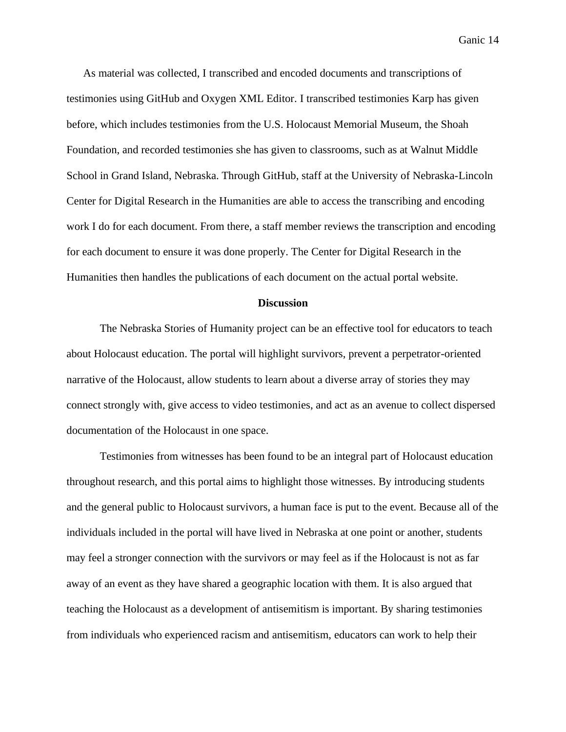As material was collected, I transcribed and encoded documents and transcriptions of testimonies using GitHub and Oxygen XML Editor. I transcribed testimonies Karp has given before, which includes testimonies from the U.S. Holocaust Memorial Museum, the Shoah Foundation, and recorded testimonies she has given to classrooms, such as at Walnut Middle School in Grand Island, Nebraska. Through GitHub, staff at the University of Nebraska-Lincoln Center for Digital Research in the Humanities are able to access the transcribing and encoding work I do for each document. From there, a staff member reviews the transcription and encoding for each document to ensure it was done properly. The Center for Digital Research in the Humanities then handles the publications of each document on the actual portal website.

#### **Discussion**

The Nebraska Stories of Humanity project can be an effective tool for educators to teach about Holocaust education. The portal will highlight survivors, prevent a perpetrator-oriented narrative of the Holocaust, allow students to learn about a diverse array of stories they may connect strongly with, give access to video testimonies, and act as an avenue to collect dispersed documentation of the Holocaust in one space.

Testimonies from witnesses has been found to be an integral part of Holocaust education throughout research, and this portal aims to highlight those witnesses. By introducing students and the general public to Holocaust survivors, a human face is put to the event. Because all of the individuals included in the portal will have lived in Nebraska at one point or another, students may feel a stronger connection with the survivors or may feel as if the Holocaust is not as far away of an event as they have shared a geographic location with them. It is also argued that teaching the Holocaust as a development of antisemitism is important. By sharing testimonies from individuals who experienced racism and antisemitism, educators can work to help their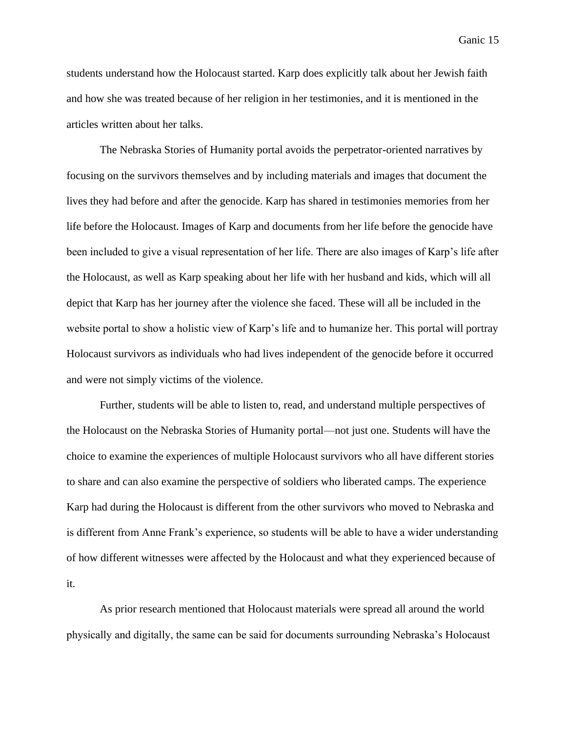students understand how the Holocaust started. Karp does explicitly talk about her Jewish faith and how she was treated because of her religion in her testimonies, and it is mentioned in the articles written about her talks.

The Nebraska Stories of Humanity portal avoids the perpetrator-oriented narratives by focusing on the survivors themselves and by including materials and images that document the lives they had before and after the genocide. Karp has shared in testimonies memories from her life before the Holocaust. Images of Karp and documents from her life before the genocide have been included to give a visual representation of her life. There are also images of Karp's life after the Holocaust, as well as Karp speaking about her life with her husband and kids, which will all depict that Karp has her journey after the violence she faced. These will all be included in the website portal to show a holistic view of Karp's life and to humanize her. This portal will portray Holocaust survivors as individuals who had lives independent of the genocide before it occurred and were not simply victims of the violence.

Further, students will be able to listen to, read, and understand multiple perspectives of the Holocaust on the Nebraska Stories of Humanity portal—not just one. Students will have the choice to examine the experiences of multiple Holocaust survivors who all have different stories to share and can also examine the perspective of soldiers who liberated camps. The experience Karp had during the Holocaust is different from the other survivors who moved to Nebraska and is different from Anne Frank's experience, so students will be able to have a wider understanding of how different witnesses were affected by the Holocaust and what they experienced because of it.

As prior research mentioned that Holocaust materials were spread all around the world physically and digitally, the same can be said for documents surrounding Nebraska's Holocaust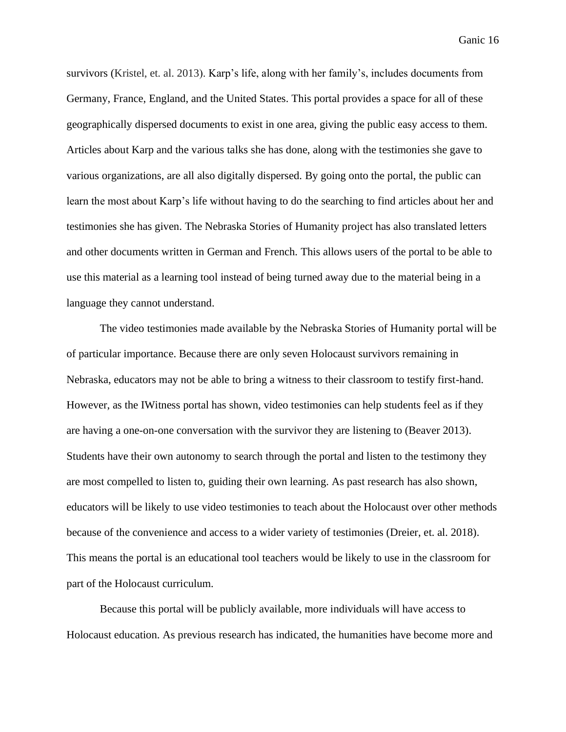survivors (Kristel, et. al. 2013). Karp's life, along with her family's, includes documents from Germany, France, England, and the United States. This portal provides a space for all of these geographically dispersed documents to exist in one area, giving the public easy access to them. Articles about Karp and the various talks she has done, along with the testimonies she gave to various organizations, are all also digitally dispersed. By going onto the portal, the public can learn the most about Karp's life without having to do the searching to find articles about her and testimonies she has given. The Nebraska Stories of Humanity project has also translated letters and other documents written in German and French. This allows users of the portal to be able to use this material as a learning tool instead of being turned away due to the material being in a language they cannot understand.

The video testimonies made available by the Nebraska Stories of Humanity portal will be of particular importance. Because there are only seven Holocaust survivors remaining in Nebraska, educators may not be able to bring a witness to their classroom to testify first-hand. However, as the IWitness portal has shown, video testimonies can help students feel as if they are having a one-on-one conversation with the survivor they are listening to (Beaver 2013). Students have their own autonomy to search through the portal and listen to the testimony they are most compelled to listen to, guiding their own learning. As past research has also shown, educators will be likely to use video testimonies to teach about the Holocaust over other methods because of the convenience and access to a wider variety of testimonies (Dreier, et. al. 2018). This means the portal is an educational tool teachers would be likely to use in the classroom for part of the Holocaust curriculum.

Because this portal will be publicly available, more individuals will have access to Holocaust education. As previous research has indicated, the humanities have become more and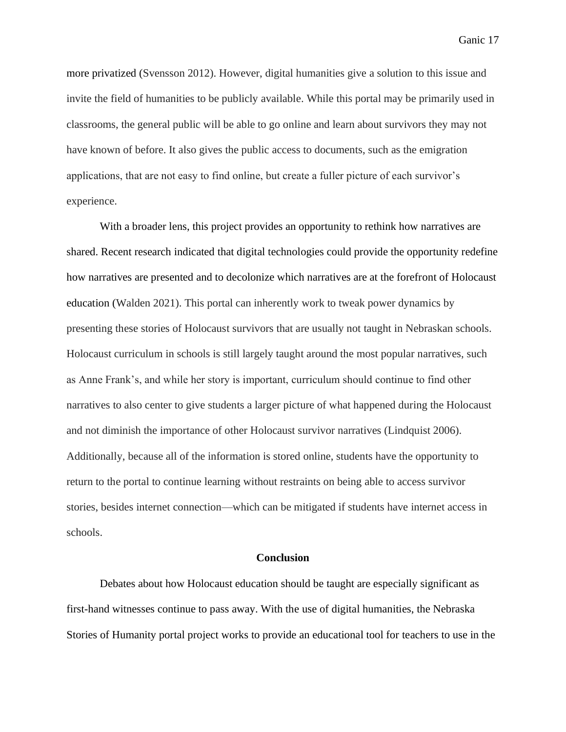more privatized (Svensson 2012). However, digital humanities give a solution to this issue and invite the field of humanities to be publicly available. While this portal may be primarily used in classrooms, the general public will be able to go online and learn about survivors they may not have known of before. It also gives the public access to documents, such as the emigration applications, that are not easy to find online, but create a fuller picture of each survivor's experience.

With a broader lens, this project provides an opportunity to rethink how narratives are shared. Recent research indicated that digital technologies could provide the opportunity redefine how narratives are presented and to decolonize which narratives are at the forefront of Holocaust education (Walden 2021). This portal can inherently work to tweak power dynamics by presenting these stories of Holocaust survivors that are usually not taught in Nebraskan schools. Holocaust curriculum in schools is still largely taught around the most popular narratives, such as Anne Frank's, and while her story is important, curriculum should continue to find other narratives to also center to give students a larger picture of what happened during the Holocaust and not diminish the importance of other Holocaust survivor narratives (Lindquist 2006). Additionally, because all of the information is stored online, students have the opportunity to return to the portal to continue learning without restraints on being able to access survivor stories, besides internet connection—which can be mitigated if students have internet access in schools.

#### **Conclusion**

Debates about how Holocaust education should be taught are especially significant as first-hand witnesses continue to pass away. With the use of digital humanities, the Nebraska Stories of Humanity portal project works to provide an educational tool for teachers to use in the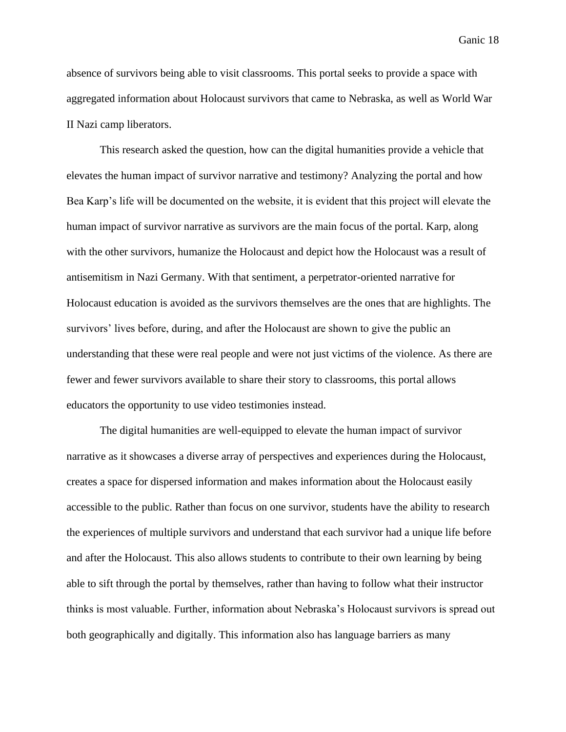absence of survivors being able to visit classrooms. This portal seeks to provide a space with aggregated information about Holocaust survivors that came to Nebraska, as well as World War II Nazi camp liberators.

This research asked the question, how can the digital humanities provide a vehicle that elevates the human impact of survivor narrative and testimony? Analyzing the portal and how Bea Karp's life will be documented on the website, it is evident that this project will elevate the human impact of survivor narrative as survivors are the main focus of the portal. Karp, along with the other survivors, humanize the Holocaust and depict how the Holocaust was a result of antisemitism in Nazi Germany. With that sentiment, a perpetrator-oriented narrative for Holocaust education is avoided as the survivors themselves are the ones that are highlights. The survivors' lives before, during, and after the Holocaust are shown to give the public an understanding that these were real people and were not just victims of the violence. As there are fewer and fewer survivors available to share their story to classrooms, this portal allows educators the opportunity to use video testimonies instead.

The digital humanities are well-equipped to elevate the human impact of survivor narrative as it showcases a diverse array of perspectives and experiences during the Holocaust, creates a space for dispersed information and makes information about the Holocaust easily accessible to the public. Rather than focus on one survivor, students have the ability to research the experiences of multiple survivors and understand that each survivor had a unique life before and after the Holocaust. This also allows students to contribute to their own learning by being able to sift through the portal by themselves, rather than having to follow what their instructor thinks is most valuable. Further, information about Nebraska's Holocaust survivors is spread out both geographically and digitally. This information also has language barriers as many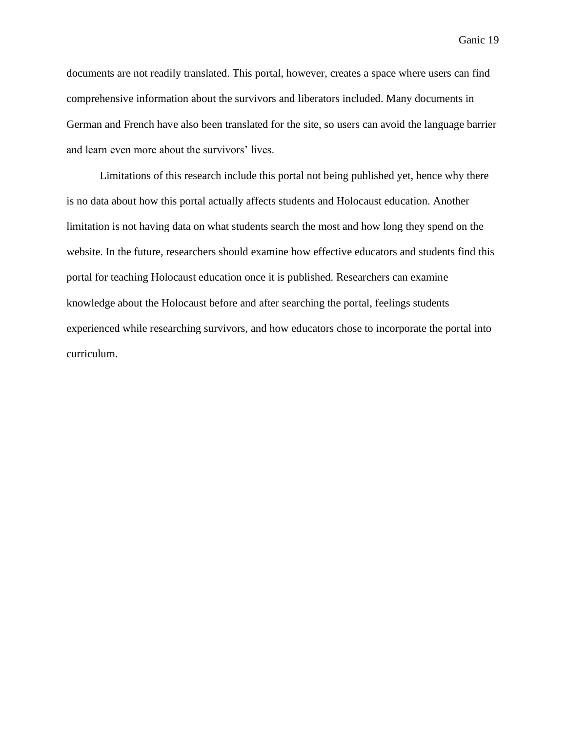documents are not readily translated. This portal, however, creates a space where users can find comprehensive information about the survivors and liberators included. Many documents in German and French have also been translated for the site, so users can avoid the language barrier and learn even more about the survivors' lives.

Limitations of this research include this portal not being published yet, hence why there is no data about how this portal actually affects students and Holocaust education. Another limitation is not having data on what students search the most and how long they spend on the website. In the future, researchers should examine how effective educators and students find this portal for teaching Holocaust education once it is published. Researchers can examine knowledge about the Holocaust before and after searching the portal, feelings students experienced while researching survivors, and how educators chose to incorporate the portal into curriculum.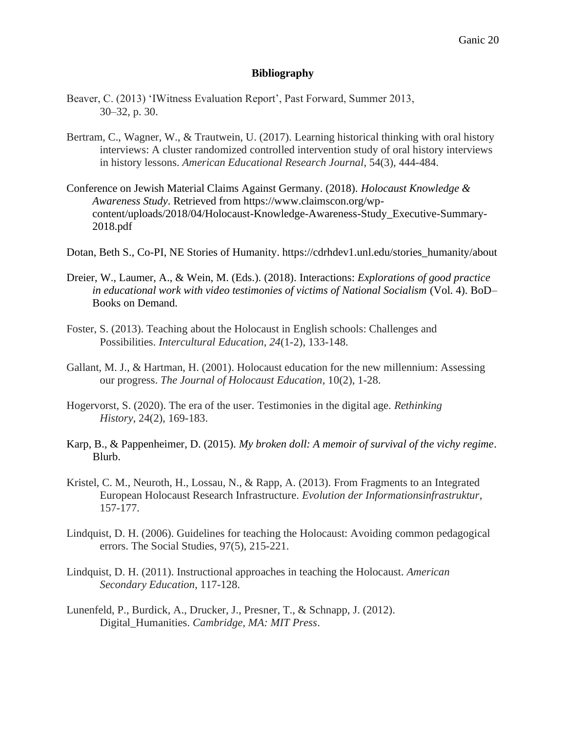#### **Bibliography**

- Beaver, C. (2013) 'IWitness Evaluation Report', Past Forward, Summer 2013, 30–32, p. 30.
- Bertram, C., Wagner, W., & Trautwein, U. (2017). Learning historical thinking with oral history interviews: A cluster randomized controlled intervention study of oral history interviews in history lessons. *American Educational Research Journal*, 54(3), 444-484.
- Conference on Jewish Material Claims Against Germany. (2018). *Holocaust Knowledge & Awareness Study*. Retrieved from https://www.claimscon.org/wpcontent/uploads/2018/04/Holocaust-Knowledge-Awareness-Study\_Executive-Summary-2018.pdf
- Dotan, Beth S., Co-PI, NE Stories of Humanity. https://cdrhdev1.unl.edu/stories\_humanity/about
- Dreier, W., Laumer, A., & Wein, M. (Eds.). (2018). Interactions: *Explorations of good practice in educational work with video testimonies of victims of National Socialism* (Vol. 4). BoD– Books on Demand.
- Foster, S. (2013). Teaching about the Holocaust in English schools: Challenges and Possibilities. *Intercultural Education*, *24*(1-2), 133-148.
- Gallant, M. J., & Hartman, H. (2001). Holocaust education for the new millennium: Assessing our progress. *The Journal of Holocaust Education*, 10(2), 1-28.
- Hogervorst, S. (2020). The era of the user. Testimonies in the digital age. *Rethinking History*, 24(2), 169-183.
- Karp, B., & Pappenheimer, D. (2015). *My broken doll: A memoir of survival of the vichy regime*. Blurb.
- Kristel, C. M., Neuroth, H., Lossau, N., & Rapp, A. (2013). From Fragments to an Integrated European Holocaust Research Infrastructure. *Evolution der Informationsinfrastruktur*, 157-177.
- Lindquist, D. H. (2006). Guidelines for teaching the Holocaust: Avoiding common pedagogical errors. The Social Studies, 97(5), 215-221.
- Lindquist, D. H. (2011). Instructional approaches in teaching the Holocaust. *American Secondary Education*, 117-128.
- Lunenfeld, P., Burdick, A., Drucker, J., Presner, T., & Schnapp, J. (2012). Digital\_Humanities. *Cambridge, MA: MIT Press*.